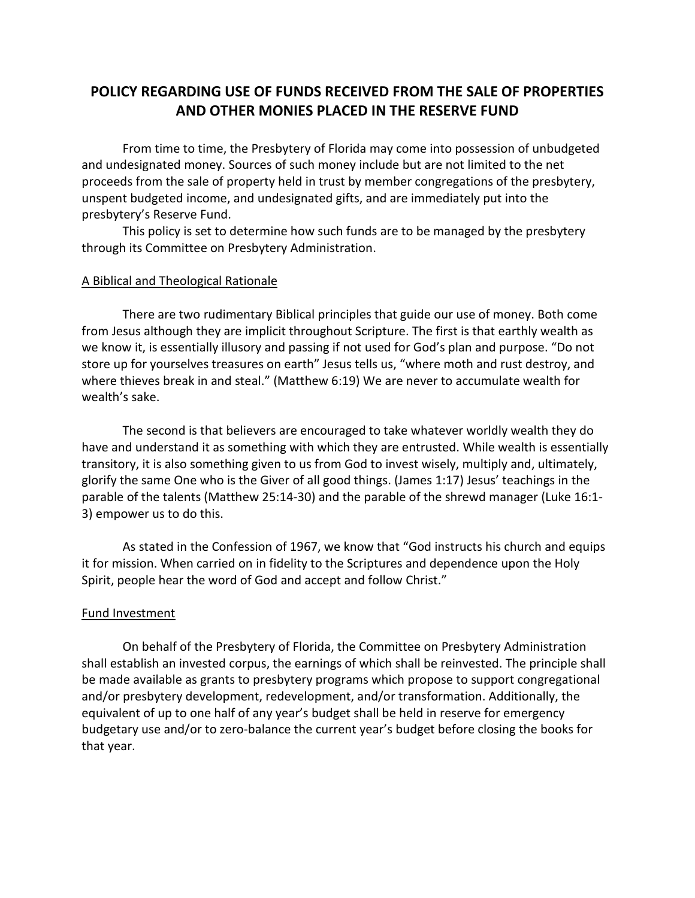# **POLICY REGARDING USE OF FUNDS RECEIVED FROM THE SALE OF PROPERTIES AND OTHER MONIES PLACED IN THE RESERVE FUND**

From time to time, the Presbytery of Florida may come into possession of unbudgeted and undesignated money. Sources of such money include but are not limited to the net proceeds from the sale of property held in trust by member congregations of the presbytery, unspent budgeted income, and undesignated gifts, and are immediately put into the presbytery's Reserve Fund.

This policy is set to determine how such funds are to be managed by the presbytery through its Committee on Presbytery Administration.

### A Biblical and Theological Rationale

There are two rudimentary Biblical principles that guide our use of money. Both come from Jesus although they are implicit throughout Scripture. The first is that earthly wealth as we know it, is essentially illusory and passing if not used for God's plan and purpose. "Do not store up for yourselves treasures on earth" Jesus tells us, "where moth and rust destroy, and where thieves break in and steal." (Matthew 6:19) We are never to accumulate wealth for wealth's sake.

The second is that believers are encouraged to take whatever worldly wealth they do have and understand it as something with which they are entrusted. While wealth is essentially transitory, it is also something given to us from God to invest wisely, multiply and, ultimately, glorify the same One who is the Giver of all good things. (James 1:17) Jesus' teachings in the parable of the talents (Matthew 25:14-30) and the parable of the shrewd manager (Luke 16:1- 3) empower us to do this.

As stated in the Confession of 1967, we know that "God instructs his church and equips it for mission. When carried on in fidelity to the Scriptures and dependence upon the Holy Spirit, people hear the word of God and accept and follow Christ."

### Fund Investment

On behalf of the Presbytery of Florida, the Committee on Presbytery Administration shall establish an invested corpus, the earnings of which shall be reinvested. The principle shall be made available as grants to presbytery programs which propose to support congregational and/or presbytery development, redevelopment, and/or transformation. Additionally, the equivalent of up to one half of any year's budget shall be held in reserve for emergency budgetary use and/or to zero-balance the current year's budget before closing the books for that year.